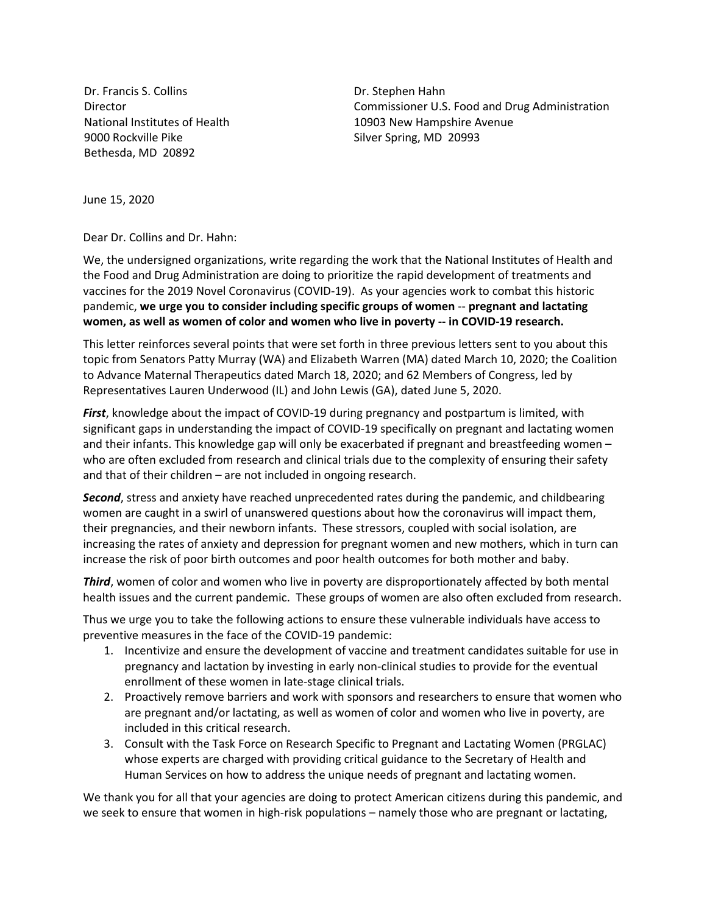Dr. Francis S. Collins Director National Institutes of Health 9000 Rockville Pike Bethesda, MD 20892

Dr. Stephen Hahn Commissioner U.S. Food and Drug Administration 10903 New Hampshire Avenue Silver Spring, MD 20993

June 15, 2020

Dear Dr. Collins and Dr. Hahn:

We, the undersigned organizations, write regarding the work that the National Institutes of Health and the Food and Drug Administration are doing to prioritize the rapid development of treatments and vaccines for the 2019 Novel Coronavirus (COVID-19). As your agencies work to combat this historic pandemic, **we urge you to consider including specific groups of women** -- **pregnant and lactating women, as well as women of color and women who live in poverty -- in COVID-19 research.**

This letter reinforces several points that were set forth in three previous letters sent to you about this topic from Senators Patty Murray (WA) and Elizabeth Warren (MA) dated March 10, 2020; the Coalition to Advance Maternal Therapeutics dated March 18, 2020; and 62 Members of Congress, led by Representatives Lauren Underwood (IL) and John Lewis (GA), dated June 5, 2020.

*First*, knowledge about the impact of COVID-19 during pregnancy and postpartum is limited, with significant gaps in understanding the impact of COVID-19 specifically on pregnant and lactating women and their infants. This knowledge gap will only be exacerbated if pregnant and breastfeeding women – who are often excluded from research and clinical trials due to the complexity of ensuring their safety and that of their children – are not included in ongoing research.

*Second*, stress and anxiety have reached unprecedented rates during the pandemic, and childbearing women are caught in a swirl of unanswered questions about how the coronavirus will impact them, their pregnancies, and their newborn infants. These stressors, coupled with social isolation, are increasing the rates of anxiety and depression for pregnant women and new mothers, which in turn can increase the risk of poor birth outcomes and poor health outcomes for both mother and baby.

*Third*, women of color and women who live in poverty are disproportionately affected by both mental health issues and the current pandemic. These groups of women are also often excluded from research.

Thus we urge you to take the following actions to ensure these vulnerable individuals have access to preventive measures in the face of the COVID-19 pandemic:

- 1. Incentivize and ensure the development of vaccine and treatment candidates suitable for use in pregnancy and lactation by investing in early non-clinical studies to provide for the eventual enrollment of these women in late-stage clinical trials.
- 2. Proactively remove barriers and work with sponsors and researchers to ensure that women who are pregnant and/or lactating, as well as women of color and women who live in poverty, are included in this critical research.
- 3. Consult with the Task Force on Research Specific to Pregnant and Lactating Women (PRGLAC) whose experts are charged with providing critical guidance to the Secretary of Health and Human Services on how to address the unique needs of pregnant and lactating women.

We thank you for all that your agencies are doing to protect American citizens during this pandemic, and we seek to ensure that women in high-risk populations – namely those who are pregnant or lactating,